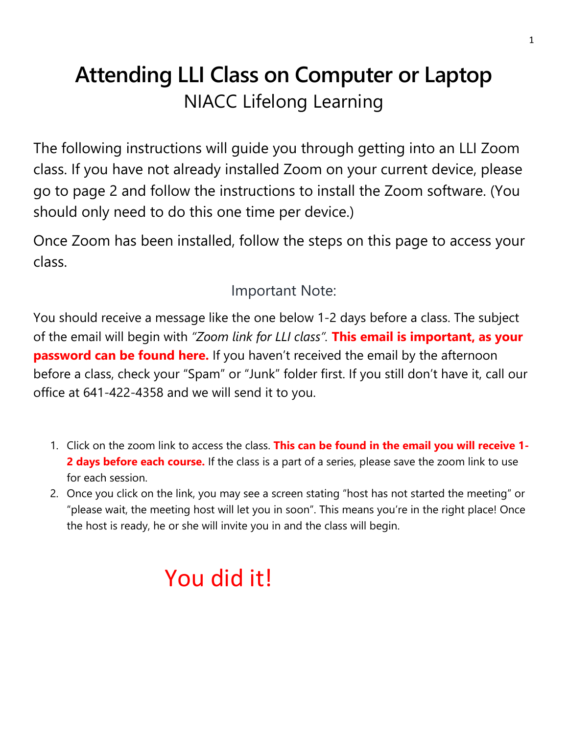## **Attending LLI Class on Computer or Laptop** NIACC Lifelong Learning

The following instructions will guide you through getting into an LLI Zoom class. If you have not already installed Zoom on your current device, please go to page 2 and follow the instructions to install the Zoom software. (You should only need to do this one time per device.)

Once Zoom has been installed, follow the steps on this page to access your class.

Important Note:

You should receive a message like the one below 1-2 days before a class. The subject of the email will begin with *"Zoom link for LLI class".* **This email is important, as your password can be found here.** If you haven't received the email by the afternoon before a class, check your "Spam" or "Junk" folder first. If you still don't have it, call our office at 641-422-4358 and we will send it to you.

- 1. Click on the zoom link to access the class. **This can be found in the email you will receive 1- 2 days before each course.** If the class is a part of a series, please save the zoom link to use for each session.
- 2. Once you click on the link, you may see a screen stating "host has not started the meeting" or "please wait, the meeting host will let you in soon". This means you're in the right place! Once the host is ready, he or she will invite you in and the class will begin.

## You did it!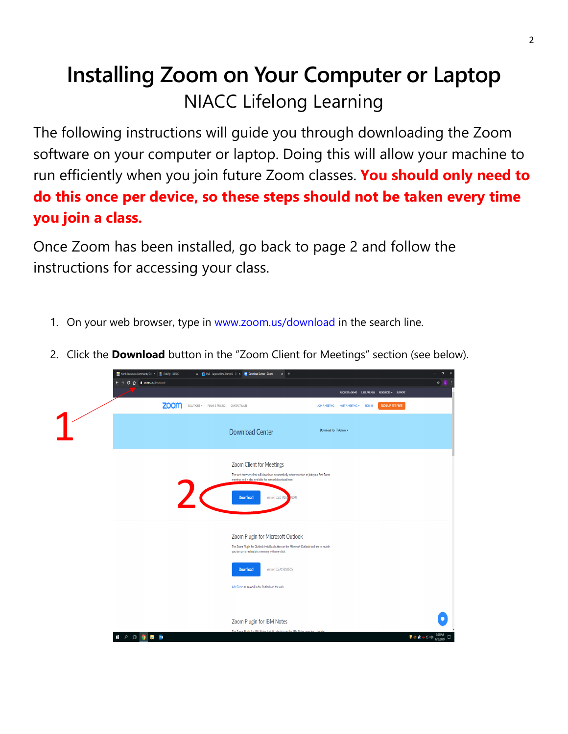## **Installing Zoom on Your Computer or Laptop** NIACC Lifelong Learning

The following instructions will guide you through downloading the Zoom software on your computer or laptop. Doing this will allow your machine to run efficiently when you join future Zoom classes. **You should only need to do this once per device, so these steps should not be taken every time you join a class.**

Once Zoom has been installed, go back to page 2 and follow the instructions for accessing your class.

1. On your web browser, type in [www.zoom.us/download](http://www.zoom.us/download) in the search line.



2. Click the **Download** button in the "Zoom Client for Meetings" section (see below).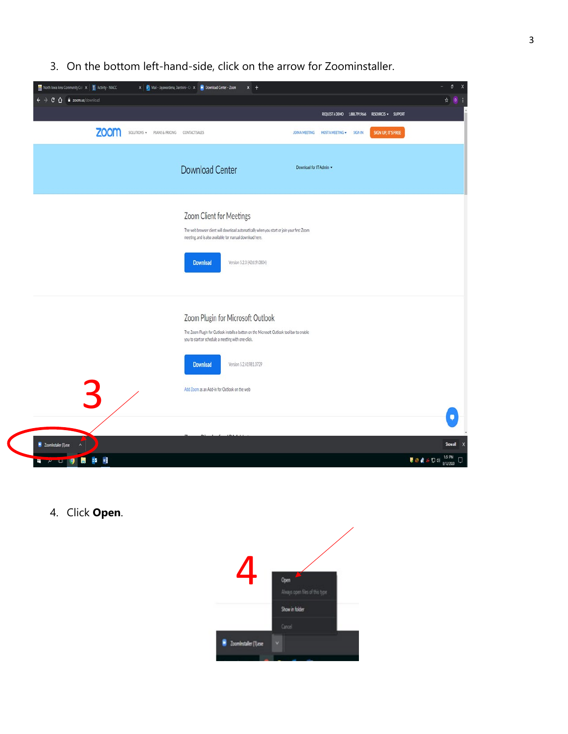3. On the bottom left-hand-side, click on the arrow for Zoominstaller.

| North Iowa Area Community Col X   Activity - NIACC<br>X 0 Mail - Jayanardena, Darshini - O. X 0 Download Center - Zoom<br>$x +$ |                                                                                                                                                                                                                                    |                                                                  | o<br>$\overline{\phantom{a}}$<br>$\boldsymbol{\mathsf{x}}$                                                            |
|---------------------------------------------------------------------------------------------------------------------------------|------------------------------------------------------------------------------------------------------------------------------------------------------------------------------------------------------------------------------------|------------------------------------------------------------------|-----------------------------------------------------------------------------------------------------------------------|
| $\leftarrow$ $\rightarrow$<br>$C$ $\Omega$ i zoomus/download                                                                    |                                                                                                                                                                                                                                    |                                                                  | ☆ 0                                                                                                                   |
|                                                                                                                                 |                                                                                                                                                                                                                                    | REQUEST A DEMO 1.888.799.9666 RESOURCES = SUPPORT                |                                                                                                                       |
| <b>ZOOM</b>                                                                                                                     | SOLUTIONS · PLANS & PRICING CONTACT SALES                                                                                                                                                                                          | SIGN UP, IT'S FREE<br>JOIN A MEETING HOST A MEETING +<br>SIGN IN |                                                                                                                       |
|                                                                                                                                 | <b>Download Center</b>                                                                                                                                                                                                             | Download for IT Admin -                                          |                                                                                                                       |
|                                                                                                                                 | Zoom Client for Meetings<br>The web browser client will download automatically when you start or join your first Zoom<br>meeting, and is also available for manual download here.<br><b>Download</b><br>Version 5.2.0 (42619.0804) |                                                                  |                                                                                                                       |
|                                                                                                                                 | Zoom Plugin for Microsoft Outlook<br>The Zoom Plugin for Outlook installs a button on the Microsoft Outlook tool bar to enable<br>you to start or schedule a meeting with one-click.                                               |                                                                  |                                                                                                                       |
|                                                                                                                                 | <b>Download</b><br>Version 5.2.41981.0729                                                                                                                                                                                          |                                                                  |                                                                                                                       |
| 3                                                                                                                               | Add Zoom as an Add-in for Outlook on the web                                                                                                                                                                                       |                                                                  |                                                                                                                       |
|                                                                                                                                 |                                                                                                                                                                                                                                    |                                                                  |                                                                                                                       |
| 2 Zoominstaller (1) exe                                                                                                         |                                                                                                                                                                                                                                    |                                                                  | Show all X                                                                                                            |
| ×<br>05<br><b>REACTION 9 R</b>                                                                                                  |                                                                                                                                                                                                                                    |                                                                  | $\blacksquare \bullet \blacktriangle \circ \mathop{\boxdot}^{\mathop{\text{\rm bdim}}}_{\text{\rm SU}(2020)} \square$ |

4. Click **Open**.

 $\bigg($